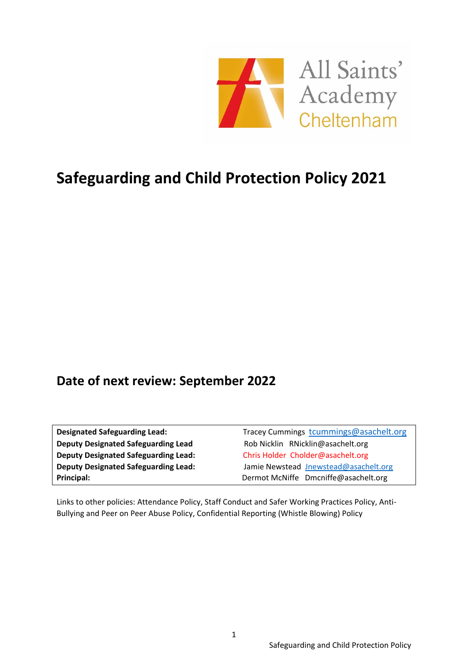

# **Safeguarding and Child Protection Policy 2021**

# **Date of next review: September 2022**

| <b>Designated Safeguarding Lead:</b>        | Tracey Cummings tcummings@asachelt.org |  |
|---------------------------------------------|----------------------------------------|--|
| <b>Deputy Designated Safeguarding Lead</b>  | Rob Nicklin RNicklin@asachelt.org      |  |
| <b>Deputy Designated Safeguarding Lead:</b> | Chris Holder Cholder@asachelt.org      |  |
| <b>Deputy Designated Safeguarding Lead:</b> | Jamie Newstead Jnewstead@asachelt.org  |  |
| Principal:                                  | Dermot McNiffe Dmcniffe@asachelt.org   |  |

Links to other policies: Attendance Policy, Staff Conduct and Safer Working Practices Policy, Anti-Bullying and Peer on Peer Abuse Policy, Confidential Reporting (Whistle Blowing) Policy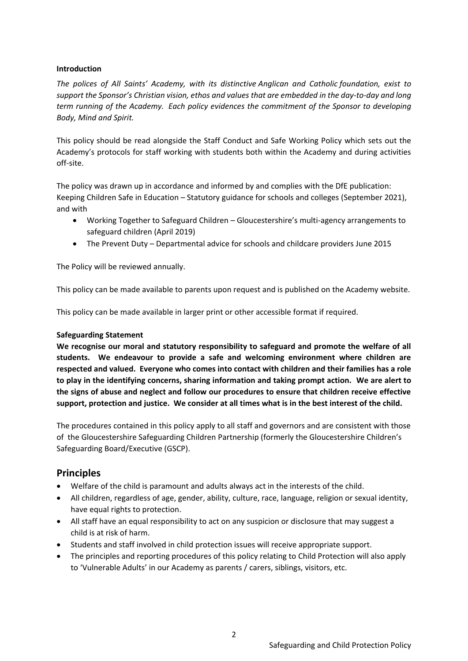#### **Introduction**

*The polices of All Saints' Academy, with its distinctive Anglican and Catholic foundation, exist to support the Sponsor's Christian vision, ethos and values that are embedded in the day-to-day and long term running of the Academy. Each policy evidences the commitment of the Sponsor to developing Body, Mind and Spirit.*

This policy should be read alongside the Staff Conduct and Safe Working Policy which sets out the Academy's protocols for staff working with students both within the Academy and during activities off-site.

The policy was drawn up in accordance and informed by and complies with the DfE publication: Keeping Children Safe in Education – Statutory guidance for schools and colleges (September 2021), and with

- Working Together to Safeguard Children Gloucestershire's multi-agency arrangements to safeguard children (April 2019)
- The Prevent Duty Departmental advice for schools and childcare providers June 2015

The Policy will be reviewed annually.

This policy can be made available to parents upon request and is published on the Academy website.

This policy can be made available in larger print or other accessible format if required.

#### **Safeguarding Statement**

**We recognise our moral and statutory responsibility to safeguard and promote the welfare of all students. We endeavour to provide a safe and welcoming environment where children are respected and valued. Everyone who comes into contact with children and their families has a role to play in the identifying concerns, sharing information and taking prompt action. We are alert to the signs of abuse and neglect and follow our procedures to ensure that children receive effective support, protection and justice. We consider at all times what is in the best interest of the child.**

The procedures contained in this policy apply to all staff and governors and are consistent with those of the Gloucestershire Safeguarding Children Partnership (formerly the Gloucestershire Children's Safeguarding Board/Executive (GSCP).

#### **Principles**

- Welfare of the child is paramount and adults always act in the interests of the child.
- All children, regardless of age, gender, ability, culture, race, language, religion or sexual identity, have equal rights to protection.
- All staff have an equal responsibility to act on any suspicion or disclosure that may suggest a child is at risk of harm.
- Students and staff involved in child protection issues will receive appropriate support.
- The principles and reporting procedures of this policy relating to Child Protection will also apply to 'Vulnerable Adults' in our Academy as parents / carers, siblings, visitors, etc.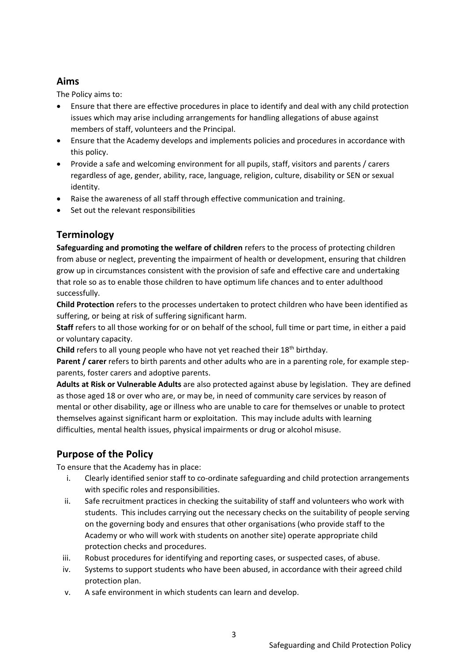## **Aims**

The Policy aims to:

- Ensure that there are effective procedures in place to identify and deal with any child protection issues which may arise including arrangements for handling allegations of abuse against members of staff, volunteers and the Principal.
- Ensure that the Academy develops and implements policies and procedures in accordance with this policy.
- Provide a safe and welcoming environment for all pupils, staff, visitors and parents / carers regardless of age, gender, ability, race, language, religion, culture, disability or SEN or sexual identity.
- Raise the awareness of all staff through effective communication and training.
- Set out the relevant responsibilities

# **Terminology**

**Safeguarding and promoting the welfare of children** refers to the process of protecting children from abuse or neglect, preventing the impairment of health or development, ensuring that children grow up in circumstances consistent with the provision of safe and effective care and undertaking that role so as to enable those children to have optimum life chances and to enter adulthood successfully.

**Child Protection** refers to the processes undertaken to protect children who have been identified as suffering, or being at risk of suffering significant harm.

**Staff** refers to all those working for or on behalf of the school, full time or part time, in either a paid or voluntary capacity.

Child refers to all young people who have not yet reached their 18<sup>th</sup> birthday.

**Parent / carer** refers to birth parents and other adults who are in a parenting role, for example stepparents, foster carers and adoptive parents.

**Adults at Risk or Vulnerable Adults** are also protected against abuse by legislation. They are defined as those aged 18 or over who are, or may be, in need of community care services by reason of mental or other disability, age or illness who are unable to care for themselves or unable to protect themselves against significant harm or exploitation. This may include adults with learning difficulties, mental health issues, physical impairments or drug or alcohol misuse.

# **Purpose of the Policy**

To ensure that the Academy has in place:

- i. Clearly identified senior staff to co-ordinate safeguarding and child protection arrangements with specific roles and responsibilities.
- ii. Safe recruitment practices in checking the suitability of staff and volunteers who work with students. This includes carrying out the necessary checks on the suitability of people serving on the governing body and ensures that other organisations (who provide staff to the Academy or who will work with students on another site) operate appropriate child protection checks and procedures.
- iii. Robust procedures for identifying and reporting cases, or suspected cases, of abuse.
- iv. Systems to support students who have been abused, in accordance with their agreed child protection plan.
- v. A safe environment in which students can learn and develop.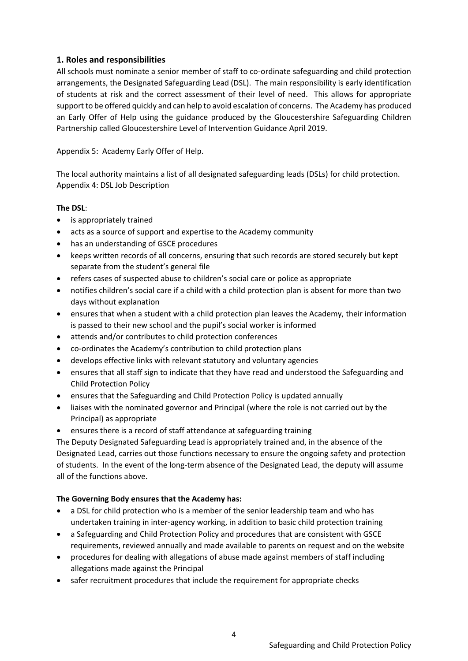#### **1. Roles and responsibilities**

All schools must nominate a senior member of staff to co-ordinate safeguarding and child protection arrangements, the Designated Safeguarding Lead (DSL). The main responsibility is early identification of students at risk and the correct assessment of their level of need. This allows for appropriate support to be offered quickly and can help to avoid escalation of concerns. The Academy has produced an Early Offer of Help using the guidance produced by the Gloucestershire Safeguarding Children Partnership called Gloucestershire Level of Intervention Guidance April 2019.

Appendix 5: Academy Early Offer of Help.

The local authority maintains a list of all designated safeguarding leads (DSLs) for child protection. Appendix 4: DSL Job Description

#### **The DSL**:

- is appropriately trained
- acts as a source of support and expertise to the Academy community
- has an understanding of GSCE procedures
- keeps written records of all concerns, ensuring that such records are stored securely but kept separate from the student's general file
- refers cases of suspected abuse to children's social care or police as appropriate
- notifies children's social care if a child with a child protection plan is absent for more than two days without explanation
- ensures that when a student with a child protection plan leaves the Academy, their information is passed to their new school and the pupil's social worker is informed
- attends and/or contributes to child protection conferences
- co-ordinates the Academy's contribution to child protection plans
- develops effective links with relevant statutory and voluntary agencies
- ensures that all staff sign to indicate that they have read and understood the Safeguarding and Child Protection Policy
- ensures that the Safeguarding and Child Protection Policy is updated annually
- liaises with the nominated governor and Principal (where the role is not carried out by the Principal) as appropriate
- ensures there is a record of staff attendance at safeguarding training

The Deputy Designated Safeguarding Lead is appropriately trained and, in the absence of the Designated Lead, carries out those functions necessary to ensure the ongoing safety and protection of students. In the event of the long-term absence of the Designated Lead, the deputy will assume all of the functions above.

#### **The Governing Body ensures that the Academy has:**

- a DSL for child protection who is a member of the senior leadership team and who has undertaken training in inter-agency working, in addition to basic child protection training
- a Safeguarding and Child Protection Policy and procedures that are consistent with GSCE requirements, reviewed annually and made available to parents on request and on the website
- procedures for dealing with allegations of abuse made against members of staff including allegations made against the Principal
- safer recruitment procedures that include the requirement for appropriate checks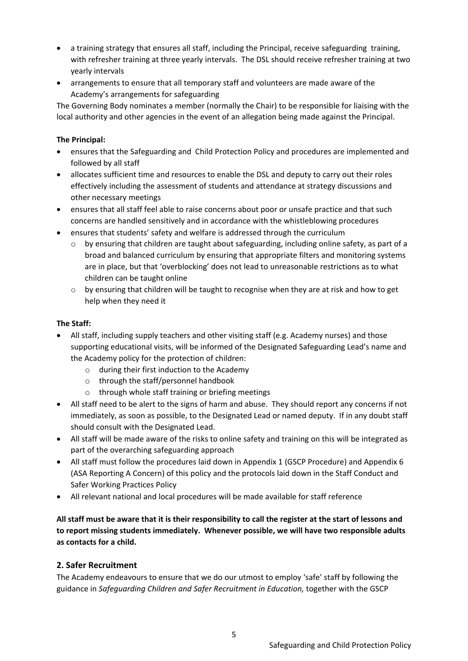- a training strategy that ensures all staff, including the Principal, receive safeguarding training, with refresher training at three yearly intervals. The DSL should receive refresher training at two yearly intervals
- arrangements to ensure that all temporary staff and volunteers are made aware of the Academy's arrangements for safeguarding

The Governing Body nominates a member (normally the Chair) to be responsible for liaising with the local authority and other agencies in the event of an allegation being made against the Principal.

#### **The Principal:**

- ensures that the Safeguarding and Child Protection Policy and procedures are implemented and followed by all staff
- allocates sufficient time and resources to enable the DSL and deputy to carry out their roles effectively including the assessment of students and attendance at strategy discussions and other necessary meetings
- ensures that all staff feel able to raise concerns about poor or unsafe practice and that such concerns are handled sensitively and in accordance with the whistleblowing procedures
- ensures that students' safety and welfare is addressed through the curriculum
	- $\circ$  by ensuring that children are taught about safeguarding, including online safety, as part of a broad and balanced curriculum by ensuring that appropriate filters and monitoring systems are in place, but that 'overblocking' does not lead to unreasonable restrictions as to what children can be taught online
	- o by ensuring that children will be taught to recognise when they are at risk and how to get help when they need it

#### **The Staff:**

- All staff, including supply teachers and other visiting staff (e.g. Academy nurses) and those supporting educational visits, will be informed of the Designated Safeguarding Lead's name and the Academy policy for the protection of children:
	- o during their first induction to the Academy
	- o through the staff/personnel handbook
	- o through whole staff training or briefing meetings
- All staff need to be alert to the signs of harm and abuse. They should report any concerns if not immediately, as soon as possible, to the Designated Lead or named deputy. If in any doubt staff should consult with the Designated Lead.
- All staff will be made aware of the risks to online safety and training on this will be integrated as part of the overarching safeguarding approach
- All staff must follow the procedures laid down in Appendix 1 (GSCP Procedure) and Appendix 6 (ASA Reporting A Concern) of this policy and the protocols laid down in the Staff Conduct and Safer Working Practices Policy
- All relevant national and local procedures will be made available for staff reference

**All staff must be aware that it is their responsibility to call the register at the start of lessons and to report missing students immediately. Whenever possible, we will have two responsible adults as contacts for a child.**

#### **2. Safer Recruitment**

The Academy endeavours to ensure that we do our utmost to employ 'safe' staff by following the guidance in *Safeguarding Children and Safer Recruitment in Education,* together with the GSCP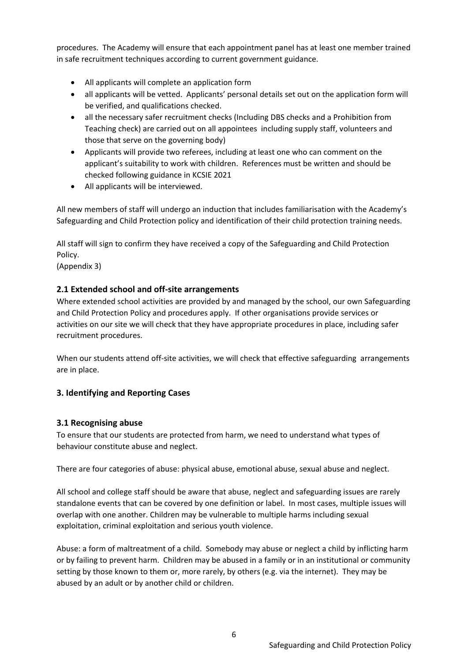procedures. The Academy will ensure that each appointment panel has at least one member trained in safe recruitment techniques according to current government guidance.

- All applicants will complete an application form
- all applicants will be vetted. Applicants' personal details set out on the application form will be verified, and qualifications checked.
- all the necessary safer recruitment checks (Including DBS checks and a Prohibition from Teaching check) are carried out on all appointees including supply staff, volunteers and those that serve on the governing body)
- Applicants will provide two referees, including at least one who can comment on the applicant's suitability to work with children. References must be written and should be checked following guidance in KCSIE 2021
- All applicants will be interviewed.

All new members of staff will undergo an induction that includes familiarisation with the Academy's Safeguarding and Child Protection policy and identification of their child protection training needs.

All staff will sign to confirm they have received a copy of the Safeguarding and Child Protection Policy.

(Appendix 3)

#### **2.1 Extended school and off-site arrangements**

Where extended school activities are provided by and managed by the school, our own Safeguarding and Child Protection Policy and procedures apply. If other organisations provide services or activities on our site we will check that they have appropriate procedures in place, including safer recruitment procedures.

When our students attend off-site activities, we will check that effective safeguarding arrangements are in place.

#### **3. Identifying and Reporting Cases**

#### **3.1 Recognising abuse**

To ensure that our students are protected from harm, we need to understand what types of behaviour constitute abuse and neglect.

There are four categories of abuse: physical abuse, emotional abuse, sexual abuse and neglect.

All school and college staff should be aware that abuse, neglect and safeguarding issues are rarely standalone events that can be covered by one definition or label. In most cases, multiple issues will overlap with one another. Children may be vulnerable to multiple harms including sexual exploitation, criminal exploitation and serious youth violence.

Abuse: a form of maltreatment of a child. Somebody may abuse or neglect a child by inflicting harm or by failing to prevent harm. Children may be abused in a family or in an institutional or community setting by those known to them or, more rarely, by others (e.g. via the internet). They may be abused by an adult or by another child or children.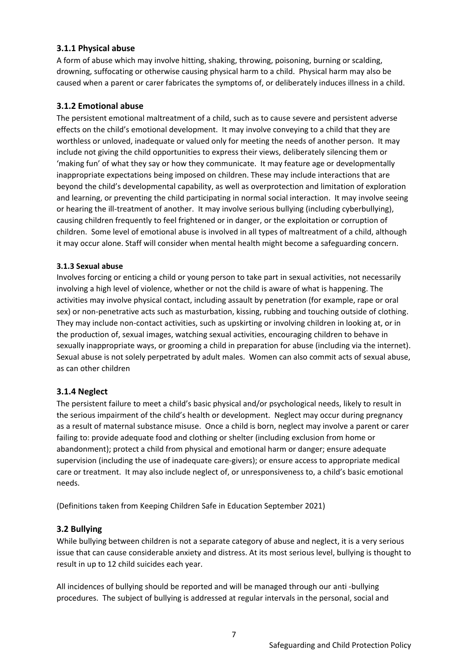#### **3.1.1 Physical abuse**

A form of abuse which may involve hitting, shaking, throwing, poisoning, burning or scalding, drowning, suffocating or otherwise causing physical harm to a child. Physical harm may also be caused when a parent or carer fabricates the symptoms of, or deliberately induces illness in a child.

#### **3.1.2 Emotional abuse**

The persistent emotional maltreatment of a child, such as to cause severe and persistent adverse effects on the child's emotional development. It may involve conveying to a child that they are worthless or unloved, inadequate or valued only for meeting the needs of another person. It may include not giving the child opportunities to express their views, deliberately silencing them or 'making fun' of what they say or how they communicate. It may feature age or developmentally inappropriate expectations being imposed on children. These may include interactions that are beyond the child's developmental capability, as well as overprotection and limitation of exploration and learning, or preventing the child participating in normal social interaction. It may involve seeing or hearing the ill-treatment of another. It may involve serious bullying (including cyberbullying), causing children frequently to feel frightened or in danger, or the exploitation or corruption of children. Some level of emotional abuse is involved in all types of maltreatment of a child, although it may occur alone. Staff will consider when mental health might become a safeguarding concern.

#### **3.1.3 Sexual abuse**

Involves forcing or enticing a child or young person to take part in sexual activities, not necessarily involving a high level of violence, whether or not the child is aware of what is happening. The activities may involve physical contact, including assault by penetration (for example, rape or oral sex) or non-penetrative acts such as masturbation, kissing, rubbing and touching outside of clothing. They may include non-contact activities, such as upskirting or involving children in looking at, or in the production of, sexual images, watching sexual activities, encouraging children to behave in sexually inappropriate ways, or grooming a child in preparation for abuse (including via the internet). Sexual abuse is not solely perpetrated by adult males. Women can also commit acts of sexual abuse, as can other children

#### **3.1.4 Neglect**

The persistent failure to meet a child's basic physical and/or psychological needs, likely to result in the serious impairment of the child's health or development. Neglect may occur during pregnancy as a result of maternal substance misuse. Once a child is born, neglect may involve a parent or carer failing to: provide adequate food and clothing or shelter (including exclusion from home or abandonment); protect a child from physical and emotional harm or danger; ensure adequate supervision (including the use of inadequate care-givers); or ensure access to appropriate medical care or treatment. It may also include neglect of, or unresponsiveness to, a child's basic emotional needs.

(Definitions taken from Keeping Children Safe in Education September 2021)

#### **3.2 Bullying**

While bullying between children is not a separate category of abuse and neglect, it is a very serious issue that can cause considerable anxiety and distress. At its most serious level, bullying is thought to result in up to 12 child suicides each year.

All incidences of bullying should be reported and will be managed through our anti -bullying procedures. The subject of bullying is addressed at regular intervals in the personal, social and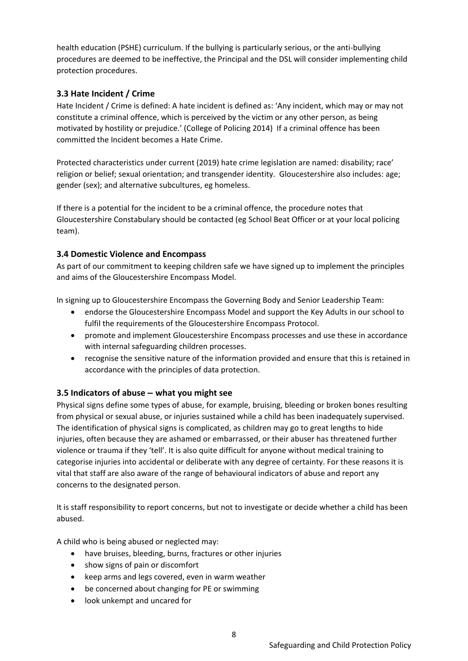health education (PSHE) curriculum. If the bullying is particularly serious, or the anti-bullying procedures are deemed to be ineffective, the Principal and the DSL will consider implementing child protection procedures.

#### **3.3 Hate Incident / Crime**

Hate Incident / Crime is defined: A hate incident is defined as: 'Any incident, which may or may not constitute a criminal offence, which is perceived by the victim or any other person, as being motivated by hostility or prejudice.' (College of Policing 2014) If a criminal offence has been committed the Incident becomes a Hate Crime.

Protected characteristics under current (2019) hate crime legislation are named: disability; race' religion or belief; sexual orientation; and transgender identity. Gloucestershire also includes: age; gender (sex); and alternative subcultures, eg homeless.

If there is a potential for the incident to be a criminal offence, the procedure notes that Gloucestershire Constabulary should be contacted (eg School Beat Officer or at your local policing team).

#### **3.4 Domestic Violence and Encompass**

As part of our commitment to keeping children safe we have signed up to implement the principles and aims of the Gloucestershire Encompass Model.

In signing up to Gloucestershire Encompass the Governing Body and Senior Leadership Team:

- endorse the Gloucestershire Encompass Model and support the Key Adults in our school to fulfil the requirements of the Gloucestershire Encompass Protocol.
- promote and implement Gloucestershire Encompass processes and use these in accordance with internal safeguarding children processes.
- recognise the sensitive nature of the information provided and ensure that this is retained in accordance with the principles of data protection.

#### **3.5 Indicators of abuse – what you might see**

Physical signs define some types of abuse, for example, bruising, bleeding or broken bones resulting from physical or sexual abuse, or injuries sustained while a child has been inadequately supervised. The identification of physical signs is complicated, as children may go to great lengths to hide injuries, often because they are ashamed or embarrassed, or their abuser has threatened further violence or trauma if they 'tell'. It is also quite difficult for anyone without medical training to categorise injuries into accidental or deliberate with any degree of certainty. For these reasons it is vital that staff are also aware of the range of behavioural indicators of abuse and report any concerns to the designated person.

It is staff responsibility to report concerns, but not to investigate or decide whether a child has been abused.

A child who is being abused or neglected may:

- have bruises, bleeding, burns, fractures or other injuries
- show signs of pain or discomfort
- keep arms and legs covered, even in warm weather
- be concerned about changing for PE or swimming
- look unkempt and uncared for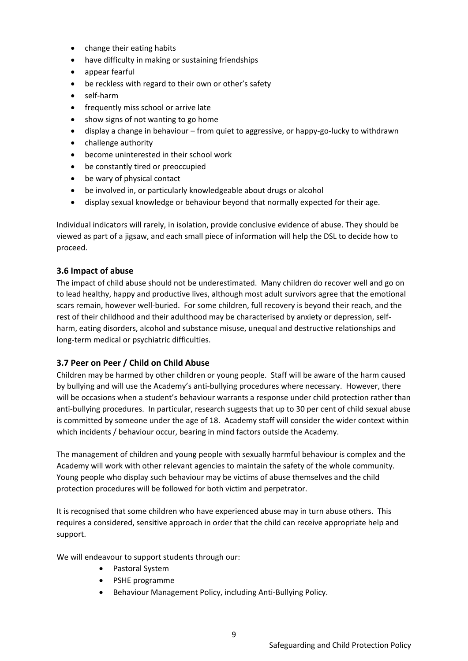- change their eating habits
- have difficulty in making or sustaining friendships
- appear fearful
- be reckless with regard to their own or other's safety
- self-harm
- frequently miss school or arrive late
- show signs of not wanting to go home
- display a change in behaviour from quiet to aggressive, or happy-go-lucky to withdrawn
- challenge authority
- become uninterested in their school work
- be constantly tired or preoccupied
- be wary of physical contact
- be involved in, or particularly knowledgeable about drugs or alcohol
- display sexual knowledge or behaviour beyond that normally expected for their age.

Individual indicators will rarely, in isolation, provide conclusive evidence of abuse. They should be viewed as part of a jigsaw, and each small piece of information will help the DSL to decide how to proceed.

#### **3.6 Impact of abuse**

The impact of child abuse should not be underestimated. Many children do recover well and go on to lead healthy, happy and productive lives, although most adult survivors agree that the emotional scars remain, however well-buried. For some children, full recovery is beyond their reach, and the rest of their childhood and their adulthood may be characterised by anxiety or depression, selfharm, eating disorders, alcohol and substance misuse, unequal and destructive relationships and long-term medical or psychiatric difficulties.

#### **3.7 Peer on Peer / Child on Child Abuse**

Children may be harmed by other children or young people. Staff will be aware of the harm caused by bullying and will use the Academy's anti-bullying procedures where necessary. However, there will be occasions when a student's behaviour warrants a response under child protection rather than anti-bullying procedures. In particular, research suggests that up to 30 per cent of child sexual abuse is committed by someone under the age of 18. Academy staff will consider the wider context within which incidents / behaviour occur, bearing in mind factors outside the Academy.

The management of children and young people with sexually harmful behaviour is complex and the Academy will work with other relevant agencies to maintain the safety of the whole community. Young people who display such behaviour may be victims of abuse themselves and the child protection procedures will be followed for both victim and perpetrator.

It is recognised that some children who have experienced abuse may in turn abuse others. This requires a considered, sensitive approach in order that the child can receive appropriate help and support.

We will endeavour to support students through our:

- Pastoral System
- PSHE programme
- Behaviour Management Policy, including Anti-Bullying Policy.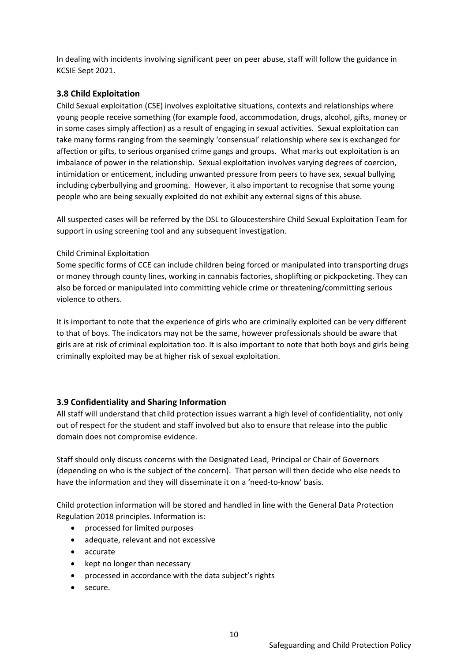In dealing with incidents involving significant peer on peer abuse, staff will follow the guidance in KCSIE Sept 2021.

#### **3.8 Child Exploitation**

Child Sexual exploitation (CSE) involves exploitative situations, contexts and relationships where young people receive something (for example food, accommodation, drugs, alcohol, gifts, money or in some cases simply affection) as a result of engaging in sexual activities. Sexual exploitation can take many forms ranging from the seemingly 'consensual' relationship where sex is exchanged for affection or gifts, to serious organised crime gangs and groups. What marks out exploitation is an imbalance of power in the relationship. Sexual exploitation involves varying degrees of coercion, intimidation or enticement, including unwanted pressure from peers to have sex, sexual bullying including cyberbullying and grooming. However, it also important to recognise that some young people who are being sexually exploited do not exhibit any external signs of this abuse.

All suspected cases will be referred by the DSL to Gloucestershire Child Sexual Exploitation Team for support in using screening tool and any subsequent investigation.

#### Child Criminal Exploitation

Some specific forms of CCE can include children being forced or manipulated into transporting drugs or money through county lines, working in cannabis factories, shoplifting or pickpocketing. They can also be forced or manipulated into committing vehicle crime or threatening/committing serious violence to others.

It is important to note that the experience of girls who are criminally exploited can be very different to that of boys. The indicators may not be the same, however professionals should be aware that girls are at risk of criminal exploitation too. It is also important to note that both boys and girls being criminally exploited may be at higher risk of sexual exploitation.

#### **3.9 Confidentiality and Sharing Information**

All staff will understand that child protection issues warrant a high level of confidentiality, not only out of respect for the student and staff involved but also to ensure that release into the public domain does not compromise evidence.

Staff should only discuss concerns with the Designated Lead, Principal or Chair of Governors (depending on who is the subject of the concern). That person will then decide who else needs to have the information and they will disseminate it on a 'need-to-know' basis.

Child protection information will be stored and handled in line with the General Data Protection Regulation 2018 principles. Information is:

- processed for limited purposes
- adequate, relevant and not excessive
- accurate
- kept no longer than necessary
- processed in accordance with the data subject's rights
- secure.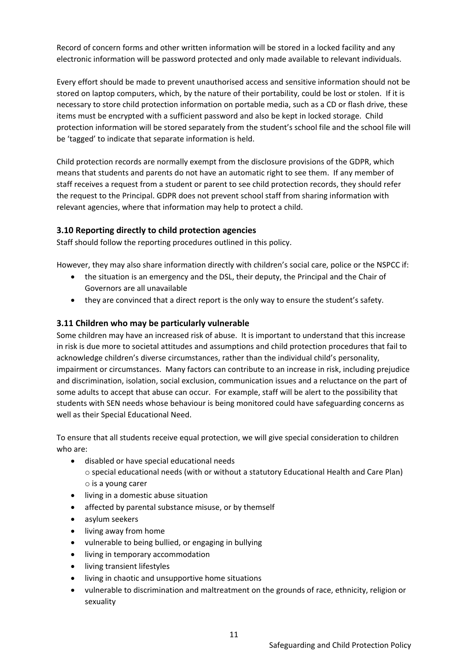Record of concern forms and other written information will be stored in a locked facility and any electronic information will be password protected and only made available to relevant individuals.

Every effort should be made to prevent unauthorised access and sensitive information should not be stored on laptop computers, which, by the nature of their portability, could be lost or stolen. If it is necessary to store child protection information on portable media, such as a CD or flash drive, these items must be encrypted with a sufficient password and also be kept in locked storage. Child protection information will be stored separately from the student's school file and the school file will be 'tagged' to indicate that separate information is held.

Child protection records are normally exempt from the disclosure provisions of the GDPR, which means that students and parents do not have an automatic right to see them. If any member of staff receives a request from a student or parent to see child protection records, they should refer the request to the Principal. GDPR does not prevent school staff from sharing information with relevant agencies, where that information may help to protect a child.

#### **3.10 Reporting directly to child protection agencies**

Staff should follow the reporting procedures outlined in this policy.

However, they may also share information directly with children's social care, police or the NSPCC if:

- the situation is an emergency and the DSL, their deputy, the Principal and the Chair of Governors are all unavailable
- they are convinced that a direct report is the only way to ensure the student's safety.

#### **3.11 Children who may be particularly vulnerable**

Some children may have an increased risk of abuse. It is important to understand that this increase in risk is due more to societal attitudes and assumptions and child protection procedures that fail to acknowledge children's diverse circumstances, rather than the individual child's personality, impairment or circumstances. Many factors can contribute to an increase in risk, including prejudice and discrimination, isolation, social exclusion, communication issues and a reluctance on the part of some adults to accept that abuse can occur. For example, staff will be alert to the possibility that students with SEN needs whose behaviour is being monitored could have safeguarding concerns as well as their Special Educational Need.

To ensure that all students receive equal protection, we will give special consideration to children who are:

- disabled or have special educational needs
	- o special educational needs (with or without a statutory Educational Health and Care Plan) o is a young carer
- living in a domestic abuse situation
- affected by parental substance misuse, or by themself
- asylum seekers
- living away from home
- vulnerable to being bullied, or engaging in bullying
- living in temporary accommodation
- living transient lifestyles
- living in chaotic and unsupportive home situations
- vulnerable to discrimination and maltreatment on the grounds of race, ethnicity, religion or sexuality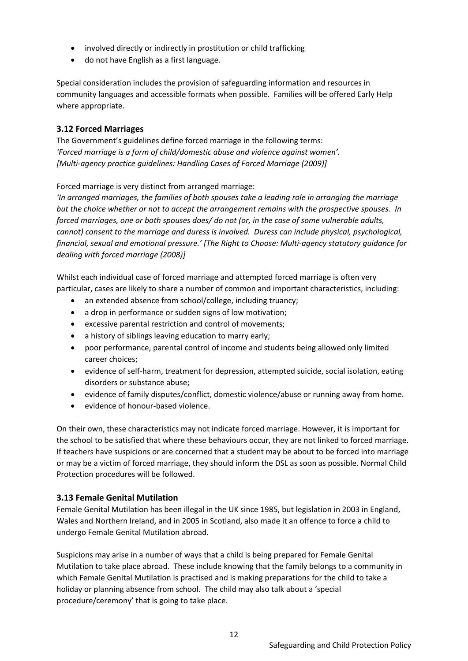- involved directly or indirectly in prostitution or child trafficking
- do not have English as a first language.

Special consideration includes the provision of safeguarding information and resources in community languages and accessible formats when possible. Families will be offered Early Help where appropriate.

#### **3.12 Forced Marriages**

The Government's guidelines define forced marriage in the following terms: *'Forced marriage is a form of child/domestic abuse and violence against women'. [Multi-agency practice guidelines: Handling Cases of Forced Marriage (2009)]*

Forced marriage is very distinct from arranged marriage:

*'In arranged marriages, the families of both spouses take a leading role in arranging the marriage but the choice whether or not to accept the arrangement remains with the prospective spouses. In forced marriages, one or both spouses does/ do not (or, in the case of some vulnerable adults, cannot) consent to the marriage and duress is involved. Duress can include physical, psychological, financial, sexual and emotional pressure.' [The Right to Choose: Multi-agency statutory guidance for dealing with forced marriage (2008)]*

Whilst each individual case of forced marriage and attempted forced marriage is often very particular, cases are likely to share a number of common and important characteristics, including:

- an extended absence from school/college, including truancy;
- a drop in performance or sudden signs of low motivation;
- excessive parental restriction and control of movements;
- a history of siblings leaving education to marry early;
- poor performance, parental control of income and students being allowed only limited career choices;
- evidence of self-harm, treatment for depression, attempted suicide, social isolation, eating disorders or substance abuse;
- evidence of family disputes/conflict, domestic violence/abuse or running away from home.
- evidence of honour-based violence.

On their own, these characteristics may not indicate forced marriage. However, it is important for the school to be satisfied that where these behaviours occur, they are not linked to forced marriage. If teachers have suspicions or are concerned that a student may be about to be forced into marriage or may be a victim of forced marriage, they should inform the DSL as soon as possible. Normal Child Protection procedures will be followed.

#### **3.13 Female Genital Mutilation**

Female Genital Mutilation has been illegal in the UK since 1985, but legislation in 2003 in England, Wales and Northern Ireland, and in 2005 in Scotland, also made it an offence to force a child to undergo Female Genital Mutilation abroad.

Suspicions may arise in a number of ways that a child is being prepared for Female Genital Mutilation to take place abroad. These include knowing that the family belongs to a community in which Female Genital Mutilation is practised and is making preparations for the child to take a holiday or planning absence from school. The child may also talk about a 'special procedure/ceremony' that is going to take place.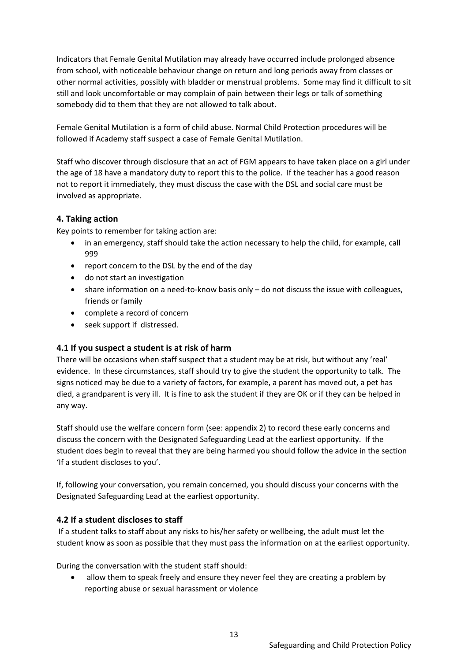Indicators that Female Genital Mutilation may already have occurred include prolonged absence from school, with noticeable behaviour change on return and long periods away from classes or other normal activities, possibly with bladder or menstrual problems. Some may find it difficult to sit still and look uncomfortable or may complain of pain between their legs or talk of something somebody did to them that they are not allowed to talk about.

Female Genital Mutilation is a form of child abuse. Normal Child Protection procedures will be followed if Academy staff suspect a case of Female Genital Mutilation.

Staff who discover through disclosure that an act of FGM appears to have taken place on a girl under the age of 18 have a mandatory duty to report this to the police. If the teacher has a good reason not to report it immediately, they must discuss the case with the DSL and social care must be involved as appropriate.

#### **4. Taking action**

Key points to remember for taking action are:

- in an emergency, staff should take the action necessary to help the child, for example, call 999
- report concern to the DSL by the end of the day
- do not start an investigation
- share information on a need-to-know basis only do not discuss the issue with colleagues, friends or family
- complete a record of concern
- seek support if distressed.

#### **4.1 If you suspect a student is at risk of harm**

There will be occasions when staff suspect that a student may be at risk, but without any 'real' evidence. In these circumstances, staff should try to give the student the opportunity to talk. The signs noticed may be due to a variety of factors, for example, a parent has moved out, a pet has died, a grandparent is very ill. It is fine to ask the student if they are OK or if they can be helped in any way.

Staff should use the welfare concern form (see: appendix 2) to record these early concerns and discuss the concern with the Designated Safeguarding Lead at the earliest opportunity. If the student does begin to reveal that they are being harmed you should follow the advice in the section 'If a student discloses to you'.

If, following your conversation, you remain concerned, you should discuss your concerns with the Designated Safeguarding Lead at the earliest opportunity.

#### **4.2 If a student discloses to staff**

If a student talks to staff about any risks to his/her safety or wellbeing, the adult must let the student know as soon as possible that they must pass the information on at the earliest opportunity.

During the conversation with the student staff should:

• allow them to speak freely and ensure they never feel they are creating a problem by reporting abuse or sexual harassment or violence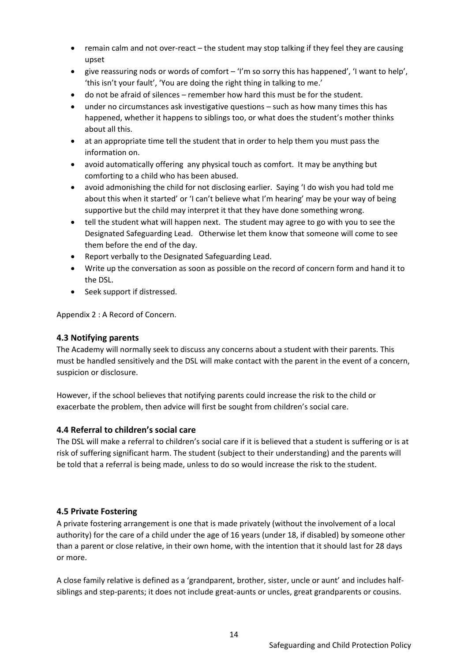- remain calm and not over-react the student may stop talking if they feel they are causing upset
- give reassuring nods or words of comfort 'I'm so sorry this has happened', 'I want to help', 'this isn't your fault', 'You are doing the right thing in talking to me.'
- do not be afraid of silences remember how hard this must be for the student.
- under no circumstances ask investigative questions such as how many times this has happened, whether it happens to siblings too, or what does the student's mother thinks about all this.
- at an appropriate time tell the student that in order to help them you must pass the information on.
- avoid automatically offering any physical touch as comfort. It may be anything but comforting to a child who has been abused.
- avoid admonishing the child for not disclosing earlier. Saying 'I do wish you had told me about this when it started' or 'I can't believe what I'm hearing' may be your way of being supportive but the child may interpret it that they have done something wrong.
- tell the student what will happen next. The student may agree to go with you to see the Designated Safeguarding Lead. Otherwise let them know that someone will come to see them before the end of the day.
- Report verbally to the Designated Safeguarding Lead.
- Write up the conversation as soon as possible on the record of concern form and hand it to the DSL.
- Seek support if distressed.

Appendix 2 : A Record of Concern.

#### **4.3 Notifying parents**

The Academy will normally seek to discuss any concerns about a student with their parents. This must be handled sensitively and the DSL will make contact with the parent in the event of a concern, suspicion or disclosure.

However, if the school believes that notifying parents could increase the risk to the child or exacerbate the problem, then advice will first be sought from children's social care.

#### **4.4 Referral to children's social care**

The DSL will make a referral to children's social care if it is believed that a student is suffering or is at risk of suffering significant harm. The student (subject to their understanding) and the parents will be told that a referral is being made, unless to do so would increase the risk to the student.

#### **4.5 Private Fostering**

A private fostering arrangement is one that is made privately (without the involvement of a local authority) for the care of a child under the age of 16 years (under 18, if disabled) by someone other than a parent or close relative, in their own home, with the intention that it should last for 28 days or more.

A close family relative is defined as a 'grandparent, brother, sister, uncle or aunt' and includes halfsiblings and step-parents; it does not include great-aunts or uncles, great grandparents or cousins.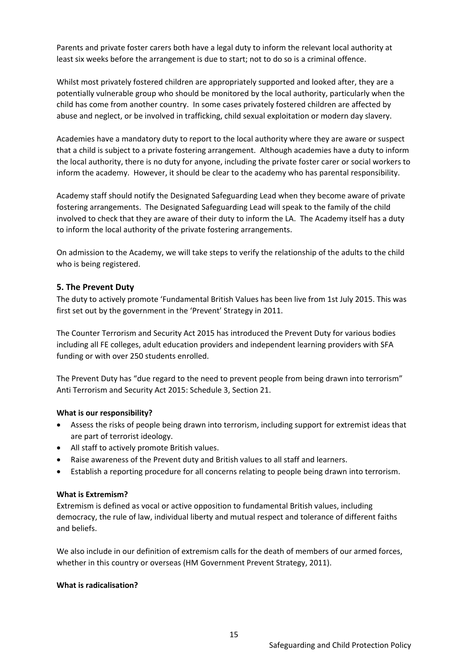Parents and private foster carers both have a legal duty to inform the relevant local authority at least six weeks before the arrangement is due to start; not to do so is a criminal offence.

Whilst most privately fostered children are appropriately supported and looked after, they are a potentially vulnerable group who should be monitored by the local authority, particularly when the child has come from another country. In some cases privately fostered children are affected by abuse and neglect, or be involved in trafficking, child sexual exploitation or modern day slavery.

Academies have a mandatory duty to report to the local authority where they are aware or suspect that a child is subject to a private fostering arrangement. Although academies have a duty to inform the local authority, there is no duty for anyone, including the private foster carer or social workers to inform the academy. However, it should be clear to the academy who has parental responsibility.

Academy staff should notify the Designated Safeguarding Lead when they become aware of private fostering arrangements. The Designated Safeguarding Lead will speak to the family of the child involved to check that they are aware of their duty to inform the LA. The Academy itself has a duty to inform the local authority of the private fostering arrangements.

On admission to the Academy, we will take steps to verify the relationship of the adults to the child who is being registered.

#### **5. The Prevent Duty**

The duty to actively promote 'Fundamental British Values has been live from 1st July 2015. This was first set out by the government in the 'Prevent' Strategy in 2011.

The Counter Terrorism and Security Act 2015 has introduced the Prevent Duty for various bodies including all FE colleges, adult education providers and independent learning providers with SFA funding or with over 250 students enrolled.

The Prevent Duty has "due regard to the need to prevent people from being drawn into terrorism" Anti Terrorism and Security Act 2015: Schedule 3, Section 21.

#### **What is our responsibility?**

- Assess the risks of people being drawn into terrorism, including support for extremist ideas that are part of terrorist ideology.
- All staff to actively promote British values.
- Raise awareness of the Prevent duty and British values to all staff and learners.
- Establish a reporting procedure for all concerns relating to people being drawn into terrorism.

#### **What is Extremism?**

Extremism is defined as vocal or active opposition to fundamental British values, including democracy, the rule of law, individual liberty and mutual respect and tolerance of different faiths and beliefs.

We also include in our definition of extremism calls for the death of members of our armed forces, whether in this country or overseas (HM Government Prevent Strategy, 2011).

#### **What is radicalisation?**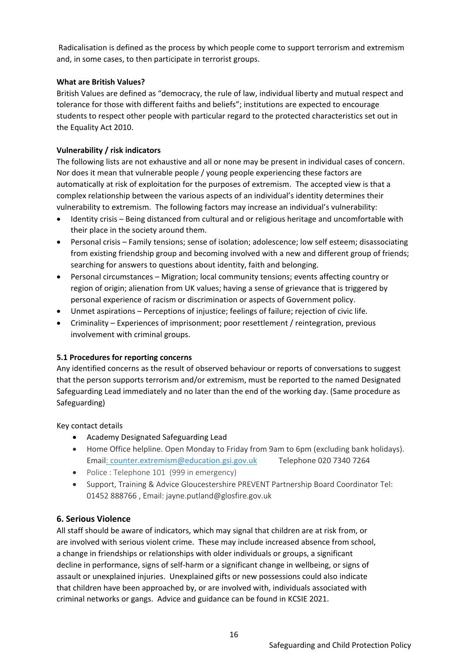Radicalisation is defined as the process by which people come to support terrorism and extremism and, in some cases, to then participate in terrorist groups.

#### **What are British Values?**

British Values are defined as "democracy, the rule of law, individual liberty and mutual respect and tolerance for those with different faiths and beliefs"; institutions are expected to encourage students to respect other people with particular regard to the protected characteristics set out in the Equality Act 2010.

#### **Vulnerability / risk indicators**

The following lists are not exhaustive and all or none may be present in individual cases of concern. Nor does it mean that vulnerable people / young people experiencing these factors are automatically at risk of exploitation for the purposes of extremism. The accepted view is that a complex relationship between the various aspects of an individual's identity determines their vulnerability to extremism. The following factors may increase an individual's vulnerability:

- Identity crisis Being distanced from cultural and or religious heritage and uncomfortable with their place in the society around them.
- Personal crisis Family tensions; sense of isolation; adolescence; low self esteem; disassociating from existing friendship group and becoming involved with a new and different group of friends; searching for answers to questions about identity, faith and belonging.
- Personal circumstances Migration; local community tensions; events affecting country or region of origin; alienation from UK values; having a sense of grievance that is triggered by personal experience of racism or discrimination or aspects of Government policy.
- Unmet aspirations Perceptions of injustice; feelings of failure; rejection of civic life.
- Criminality Experiences of imprisonment; poor resettlement / reintegration, previous involvement with criminal groups.

#### **5.1 Procedures for reporting concerns**

Any identified concerns as the result of observed behaviour or reports of conversations to suggest that the person supports terrorism and/or extremism, must be reported to the named Designated Safeguarding Lead immediately and no later than the end of the working day. (Same procedure as Safeguarding)

Key contact details

- Academy Designated Safeguarding Lead
- Home Office helpline. Open Monday to Friday from 9am to 6pm (excluding bank holidays). Ema[il: counter.extremism@education.gsi.gov.uk](mailto:counter.extremism@education.gsi.gov.uk) Telephone 020 7340 7264
- Police : Telephone 101 (999 in emergency)
- Support, Training & Advice Gloucestershire PREVENT Partnership Board Coordinator Tel: 01452 888766 , Email: jayne.putland@glosfire.gov.uk

#### **6. Serious Violence**

All staff should be aware of indicators, which may signal that children are at risk from, or are involved with serious violent crime. These may include increased absence from school, a change in friendships or relationships with older individuals or groups, a significant decline in performance, signs of self-harm or a significant change in wellbeing, or signs of assault or unexplained injuries. Unexplained gifts or new possessions could also indicate that children have been approached by, or are involved with, individuals associated with criminal networks or gangs. Advice and guidance can be found in KCSIE 2021.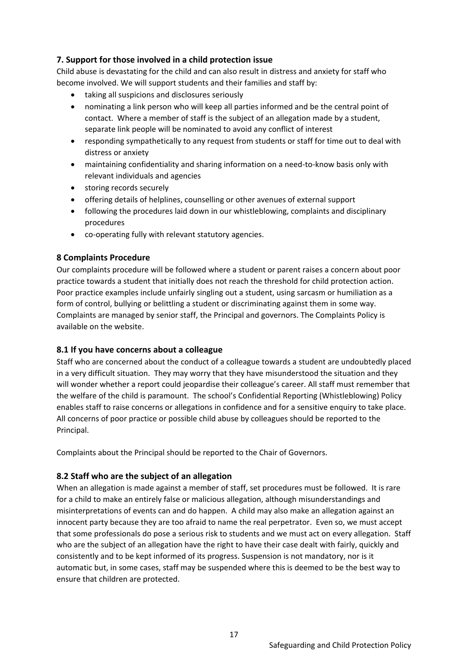#### **7. Support for those involved in a child protection issue**

Child abuse is devastating for the child and can also result in distress and anxiety for staff who become involved. We will support students and their families and staff by:

- taking all suspicions and disclosures seriously
- nominating a link person who will keep all parties informed and be the central point of contact. Where a member of staff is the subject of an allegation made by a student, separate link people will be nominated to avoid any conflict of interest
- responding sympathetically to any request from students or staff for time out to deal with distress or anxiety
- maintaining confidentiality and sharing information on a need-to-know basis only with relevant individuals and agencies
- storing records securely
- offering details of helplines, counselling or other avenues of external support
- following the procedures laid down in our whistleblowing, complaints and disciplinary procedures
- co-operating fully with relevant statutory agencies.

#### **8 Complaints Procedure**

Our complaints procedure will be followed where a student or parent raises a concern about poor practice towards a student that initially does not reach the threshold for child protection action. Poor practice examples include unfairly singling out a student, using sarcasm or humiliation as a form of control, bullying or belittling a student or discriminating against them in some way. Complaints are managed by senior staff, the Principal and governors. The Complaints Policy is available on the website.

#### **8.1 If you have concerns about a colleague**

Staff who are concerned about the conduct of a colleague towards a student are undoubtedly placed in a very difficult situation. They may worry that they have misunderstood the situation and they will wonder whether a report could jeopardise their colleague's career. All staff must remember that the welfare of the child is paramount. The school's Confidential Reporting (Whistleblowing) Policy enables staff to raise concerns or allegations in confidence and for a sensitive enquiry to take place. All concerns of poor practice or possible child abuse by colleagues should be reported to the Principal.

Complaints about the Principal should be reported to the Chair of Governors.

#### **8.2 Staff who are the subject of an allegation**

When an allegation is made against a member of staff, set procedures must be followed. It is rare for a child to make an entirely false or malicious allegation, although misunderstandings and misinterpretations of events can and do happen. A child may also make an allegation against an innocent party because they are too afraid to name the real perpetrator. Even so, we must accept that some professionals do pose a serious risk to students and we must act on every allegation. Staff who are the subject of an allegation have the right to have their case dealt with fairly, quickly and consistently and to be kept informed of its progress. Suspension is not mandatory, nor is it automatic but, in some cases, staff may be suspended where this is deemed to be the best way to ensure that children are protected.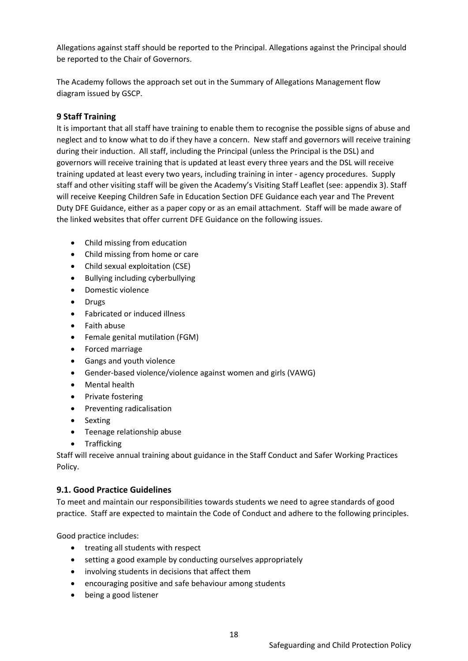Allegations against staff should be reported to the Principal. Allegations against the Principal should be reported to the Chair of Governors.

The Academy follows the approach set out in the Summary of Allegations Management flow diagram issued by GSCP.

#### **9 Staff Training**

It is important that all staff have training to enable them to recognise the possible signs of abuse and neglect and to know what to do if they have a concern. New staff and governors will receive training during their induction. All staff, including the Principal (unless the Principal is the DSL) and governors will receive training that is updated at least every three years and the DSL will receive training updated at least every two years, including training in inter - agency procedures. Supply staff and other visiting staff will be given the Academy's Visiting Staff Leaflet (see: appendix 3). Staff will receive Keeping Children Safe in Education Section DFE Guidance each year and The Prevent Duty DFE Guidance, either as a paper copy or as an email attachment. Staff will be made aware of the linked websites that offer current DFE Guidance on the following issues.

- Child missing from education
- Child missing from home or care
- Child sexual exploitation (CSE)
- Bullying including cyberbullying
- Domestic violence
- Drugs
- Fabricated or induced illness
- Faith abuse
- Female genital mutilation (FGM)
- Forced marriage
- Gangs and youth violence
- Gender-based violence/violence against women and girls (VAWG)
- Mental health
- Private fostering
- Preventing radicalisation
- Sexting
- Teenage relationship abuse
- Trafficking

Staff will receive annual training about guidance in the Staff Conduct and Safer Working Practices Policy.

#### **9.1. Good Practice Guidelines**

To meet and maintain our responsibilities towards students we need to agree standards of good practice. Staff are expected to maintain the Code of Conduct and adhere to the following principles.

Good practice includes:

- treating all students with respect
- setting a good example by conducting ourselves appropriately
- involving students in decisions that affect them
- encouraging positive and safe behaviour among students
- being a good listener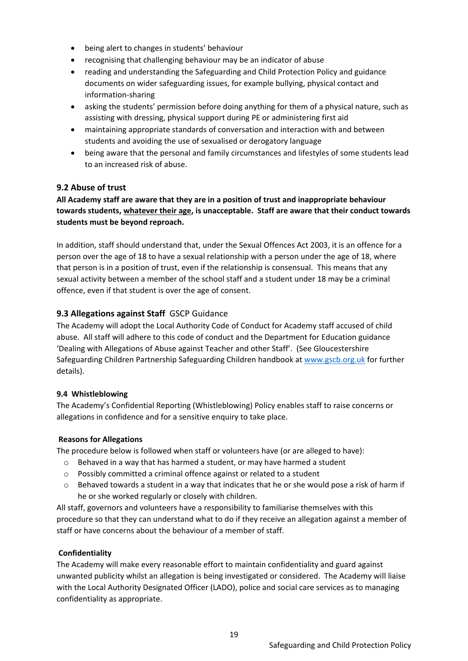- being alert to changes in students' behaviour
- recognising that challenging behaviour may be an indicator of abuse
- reading and understanding the Safeguarding and Child Protection Policy and guidance documents on wider safeguarding issues, for example bullying, physical contact and information-sharing
- asking the students' permission before doing anything for them of a physical nature, such as assisting with dressing, physical support during PE or administering first aid
- maintaining appropriate standards of conversation and interaction with and between students and avoiding the use of sexualised or derogatory language
- being aware that the personal and family circumstances and lifestyles of some students lead to an increased risk of abuse.

#### **9.2 Abuse of trust**

**All Academy staff are aware that they are in a position of trust and inappropriate behaviour towards students, whatever their age, is unacceptable. Staff are aware that their conduct towards students must be beyond reproach.** 

In addition, staff should understand that, under the Sexual Offences Act 2003, it is an offence for a person over the age of 18 to have a sexual relationship with a person under the age of 18, where that person is in a position of trust, even if the relationship is consensual. This means that any sexual activity between a member of the school staff and a student under 18 may be a criminal offence, even if that student is over the age of consent.

#### **9.3 Allegations against Staff** GSCP Guidance

The Academy will adopt the Local Authority Code of Conduct for Academy staff accused of child abuse. All staff will adhere to this code of conduct and the Department for Education guidance 'Dealing with Allegations of Abuse against Teacher and other Staff'. (See Gloucestershire Safeguarding Children Partnership Safeguarding Children handbook at [www.gscb.org.uk](http://www.gscb.org.uk/) for further details).

#### **9.4 Whistleblowing**

The Academy's Confidential Reporting (Whistleblowing) Policy enables staff to raise concerns or allegations in confidence and for a sensitive enquiry to take place.

#### **Reasons for Allegations**

The procedure below is followed when staff or volunteers have (or are alleged to have):

- $\circ$  Behaved in a way that has harmed a student, or may have harmed a student
- o Possibly committed a criminal offence against or related to a student
- $\circ$  Behaved towards a student in a way that indicates that he or she would pose a risk of harm if he or she worked regularly or closely with children.

All staff, governors and volunteers have a responsibility to familiarise themselves with this procedure so that they can understand what to do if they receive an allegation against a member of staff or have concerns about the behaviour of a member of staff.

#### **Confidentiality**

The Academy will make every reasonable effort to maintain confidentiality and guard against unwanted publicity whilst an allegation is being investigated or considered. The Academy will liaise with the Local Authority Designated Officer (LADO), police and social care services as to managing confidentiality as appropriate.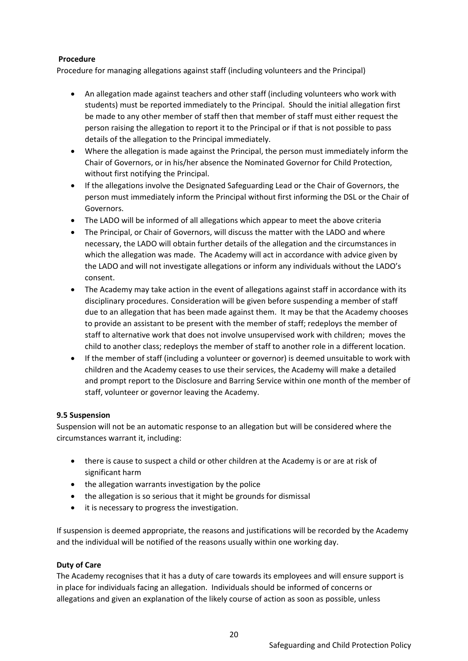#### **Procedure**

Procedure for managing allegations against staff (including volunteers and the Principal)

- An allegation made against teachers and other staff (including volunteers who work with students) must be reported immediately to the Principal. Should the initial allegation first be made to any other member of staff then that member of staff must either request the person raising the allegation to report it to the Principal or if that is not possible to pass details of the allegation to the Principal immediately.
- Where the allegation is made against the Principal, the person must immediately inform the Chair of Governors, or in his/her absence the Nominated Governor for Child Protection, without first notifying the Principal.
- If the allegations involve the Designated Safeguarding Lead or the Chair of Governors, the person must immediately inform the Principal without first informing the DSL or the Chair of Governors.
- The LADO will be informed of all allegations which appear to meet the above criteria
- The Principal, or Chair of Governors, will discuss the matter with the LADO and where necessary, the LADO will obtain further details of the allegation and the circumstances in which the allegation was made. The Academy will act in accordance with advice given by the LADO and will not investigate allegations or inform any individuals without the LADO's consent.
- The Academy may take action in the event of allegations against staff in accordance with its disciplinary procedures. Consideration will be given before suspending a member of staff due to an allegation that has been made against them. It may be that the Academy chooses to provide an assistant to be present with the member of staff; redeploys the member of staff to alternative work that does not involve unsupervised work with children; moves the child to another class; redeploys the member of staff to another role in a different location.
- If the member of staff (including a volunteer or governor) is deemed unsuitable to work with children and the Academy ceases to use their services, the Academy will make a detailed and prompt report to the Disclosure and Barring Service within one month of the member of staff, volunteer or governor leaving the Academy.

#### **9.5 Suspension**

Suspension will not be an automatic response to an allegation but will be considered where the circumstances warrant it, including:

- there is cause to suspect a child or other children at the Academy is or are at risk of significant harm
- the allegation warrants investigation by the police
- the allegation is so serious that it might be grounds for dismissal
- it is necessary to progress the investigation.

If suspension is deemed appropriate, the reasons and justifications will be recorded by the Academy and the individual will be notified of the reasons usually within one working day.

#### **Duty of Care**

The Academy recognises that it has a duty of care towards its employees and will ensure support is in place for individuals facing an allegation. Individuals should be informed of concerns or allegations and given an explanation of the likely course of action as soon as possible, unless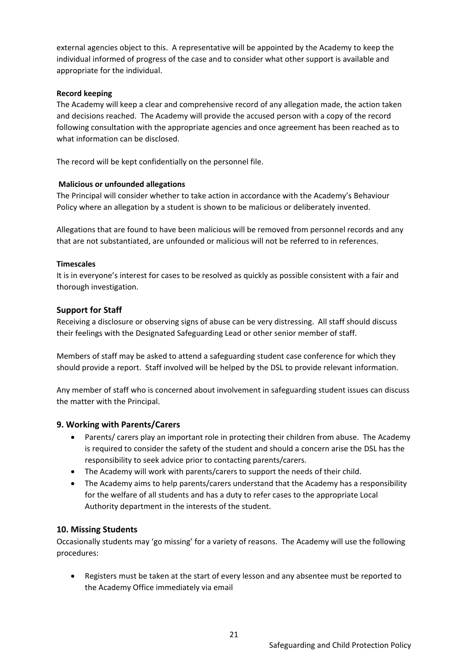external agencies object to this. A representative will be appointed by the Academy to keep the individual informed of progress of the case and to consider what other support is available and appropriate for the individual.

#### **Record keeping**

The Academy will keep a clear and comprehensive record of any allegation made, the action taken and decisions reached. The Academy will provide the accused person with a copy of the record following consultation with the appropriate agencies and once agreement has been reached as to what information can be disclosed.

The record will be kept confidentially on the personnel file.

#### **Malicious or unfounded allegations**

The Principal will consider whether to take action in accordance with the Academy's Behaviour Policy where an allegation by a student is shown to be malicious or deliberately invented.

Allegations that are found to have been malicious will be removed from personnel records and any that are not substantiated, are unfounded or malicious will not be referred to in references.

#### **Timescales**

It is in everyone's interest for cases to be resolved as quickly as possible consistent with a fair and thorough investigation.

#### **Support for Staff**

Receiving a disclosure or observing signs of abuse can be very distressing. All staff should discuss their feelings with the Designated Safeguarding Lead or other senior member of staff.

Members of staff may be asked to attend a safeguarding student case conference for which they should provide a report. Staff involved will be helped by the DSL to provide relevant information.

Any member of staff who is concerned about involvement in safeguarding student issues can discuss the matter with the Principal.

#### **9. Working with Parents/Carers**

- Parents/ carers play an important role in protecting their children from abuse. The Academy is required to consider the safety of the student and should a concern arise the DSL has the responsibility to seek advice prior to contacting parents/carers.
- The Academy will work with parents/carers to support the needs of their child.
- The Academy aims to help parents/carers understand that the Academy has a responsibility for the welfare of all students and has a duty to refer cases to the appropriate Local Authority department in the interests of the student.

#### **10. Missing Students**

Occasionally students may 'go missing' for a variety of reasons. The Academy will use the following procedures:

• Registers must be taken at the start of every lesson and any absentee must be reported to the Academy Office immediately via email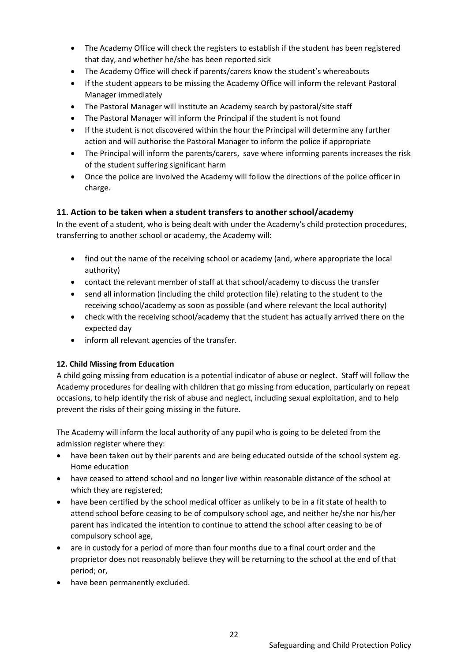- The Academy Office will check the registers to establish if the student has been registered that day, and whether he/she has been reported sick
- The Academy Office will check if parents/carers know the student's whereabouts
- If the student appears to be missing the Academy Office will inform the relevant Pastoral Manager immediately
- The Pastoral Manager will institute an Academy search by pastoral/site staff
- The Pastoral Manager will inform the Principal if the student is not found
- If the student is not discovered within the hour the Principal will determine any further action and will authorise the Pastoral Manager to inform the police if appropriate
- The Principal will inform the parents/carers, save where informing parents increases the risk of the student suffering significant harm
- Once the police are involved the Academy will follow the directions of the police officer in charge.

#### **11. Action to be taken when a student transfers to another school/academy**

In the event of a student, who is being dealt with under the Academy's child protection procedures, transferring to another school or academy, the Academy will:

- find out the name of the receiving school or academy (and, where appropriate the local authority)
- contact the relevant member of staff at that school/academy to discuss the transfer
- send all information (including the child protection file) relating to the student to the receiving school/academy as soon as possible (and where relevant the local authority)
- check with the receiving school/academy that the student has actually arrived there on the expected day
- inform all relevant agencies of the transfer.

#### **12. Child Missing from Education**

A child going missing from education is a potential indicator of abuse or neglect. Staff will follow the Academy procedures for dealing with children that go missing from education, particularly on repeat occasions, to help identify the risk of abuse and neglect, including sexual exploitation, and to help prevent the risks of their going missing in the future.

The Academy will inform the local authority of any pupil who is going to be deleted from the admission register where they:

- have been taken out by their parents and are being educated outside of the school system eg. Home education
- have ceased to attend school and no longer live within reasonable distance of the school at which they are registered;
- have been certified by the school medical officer as unlikely to be in a fit state of health to attend school before ceasing to be of compulsory school age, and neither he/she nor his/her parent has indicated the intention to continue to attend the school after ceasing to be of compulsory school age,
- are in custody for a period of more than four months due to a final court order and the proprietor does not reasonably believe they will be returning to the school at the end of that period; or,
- have been permanently excluded.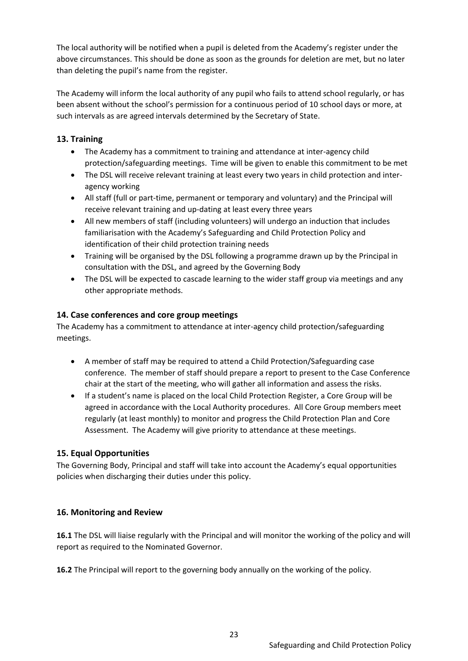The local authority will be notified when a pupil is deleted from the Academy's register under the above circumstances. This should be done as soon as the grounds for deletion are met, but no later than deleting the pupil's name from the register.

The Academy will inform the local authority of any pupil who fails to attend school regularly, or has been absent without the school's permission for a continuous period of 10 school days or more, at such intervals as are agreed intervals determined by the Secretary of State.

#### **13. Training**

- The Academy has a commitment to training and attendance at inter-agency child protection/safeguarding meetings. Time will be given to enable this commitment to be met
- The DSL will receive relevant training at least every two years in child protection and interagency working
- All staff (full or part-time, permanent or temporary and voluntary) and the Principal will receive relevant training and up-dating at least every three years
- All new members of staff (including volunteers) will undergo an induction that includes familiarisation with the Academy's Safeguarding and Child Protection Policy and identification of their child protection training needs
- Training will be organised by the DSL following a programme drawn up by the Principal in consultation with the DSL, and agreed by the Governing Body
- The DSL will be expected to cascade learning to the wider staff group via meetings and any other appropriate methods.

#### **14. Case conferences and core group meetings**

The Academy has a commitment to attendance at inter-agency child protection/safeguarding meetings.

- A member of staff may be required to attend a Child Protection/Safeguarding case conference. The member of staff should prepare a report to present to the Case Conference chair at the start of the meeting, who will gather all information and assess the risks.
- If a student's name is placed on the local Child Protection Register, a Core Group will be agreed in accordance with the Local Authority procedures. All Core Group members meet regularly (at least monthly) to monitor and progress the Child Protection Plan and Core Assessment. The Academy will give priority to attendance at these meetings.

#### **15. Equal Opportunities**

The Governing Body, Principal and staff will take into account the Academy's equal opportunities policies when discharging their duties under this policy.

#### **16. Monitoring and Review**

**16.1** The DSL will liaise regularly with the Principal and will monitor the working of the policy and will report as required to the Nominated Governor.

**16.2** The Principal will report to the governing body annually on the working of the policy.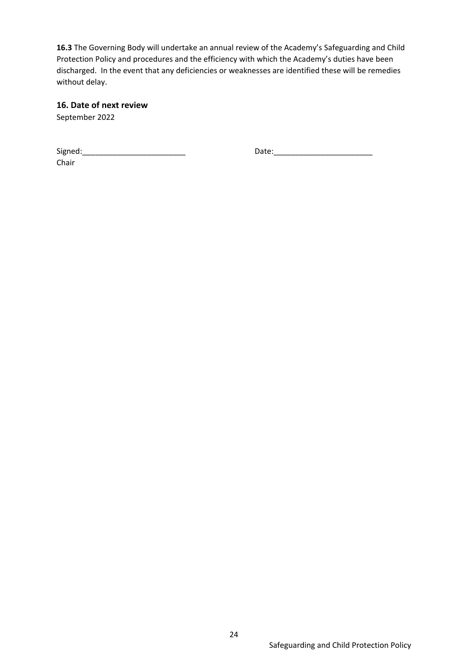**16.3** The Governing Body will undertake an annual review of the Academy's Safeguarding and Child Protection Policy and procedures and the efficiency with which the Academy's duties have been discharged. In the event that any deficiencies or weaknesses are identified these will be remedies without delay.

#### **16. Date of next review**

September 2022

Signed:\_\_\_\_\_\_\_\_\_\_\_\_\_\_\_\_\_\_\_\_\_\_\_\_ Date:\_\_\_\_\_\_\_\_\_\_\_\_\_\_\_\_\_\_\_\_\_\_\_ Chair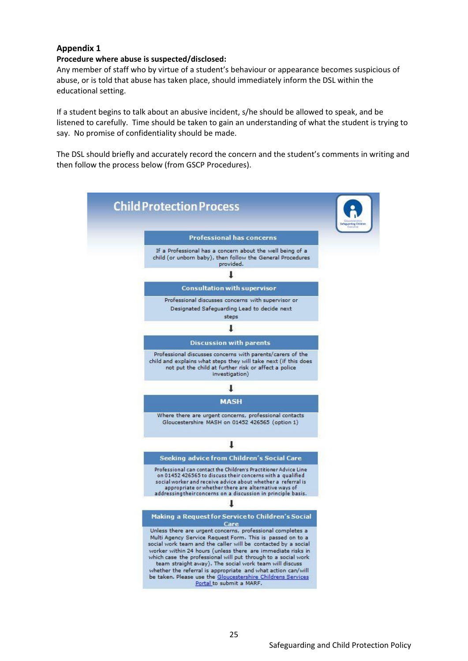#### **Procedure where abuse is suspected/disclosed:**

Any member of staff who by virtue of a student's behaviour or appearance becomes suspicious of abuse, or is told that abuse has taken place, should immediately inform the DSL within the educational setting.

If a student begins to talk about an abusive incident, s/he should be allowed to speak, and be listened to carefully. Time should be taken to gain an understanding of what the student is trying to say. No promise of confidentiality should be made.

The DSL should briefly and accurately record the concern and the student's comments in writing and then follow the process below (from GSCP Procedures).

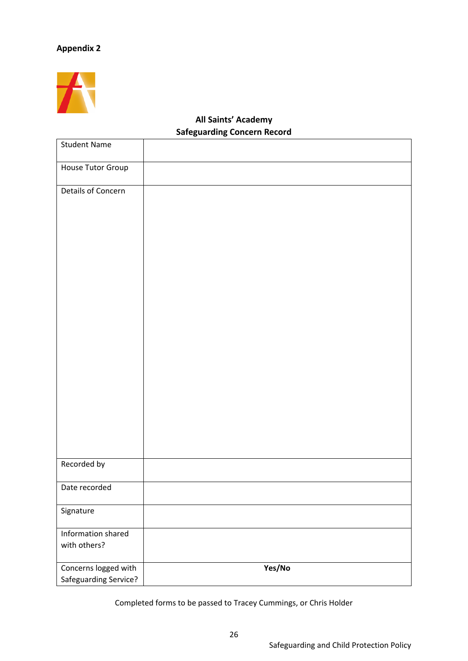

# **All Saints' Academy Safeguarding Concern Record**

| <b>Student Name</b>   |        |
|-----------------------|--------|
| House Tutor Group     |        |
| Details of Concern    |        |
|                       |        |
|                       |        |
|                       |        |
|                       |        |
|                       |        |
|                       |        |
|                       |        |
|                       |        |
|                       |        |
|                       |        |
|                       |        |
|                       |        |
|                       |        |
|                       |        |
|                       |        |
| Recorded by           |        |
| Date recorded         |        |
| Signature             |        |
| Information shared    |        |
| with others?          |        |
| Concerns logged with  | Yes/No |
| Safeguarding Service? |        |

Completed forms to be passed to Tracey Cummings, or Chris Holder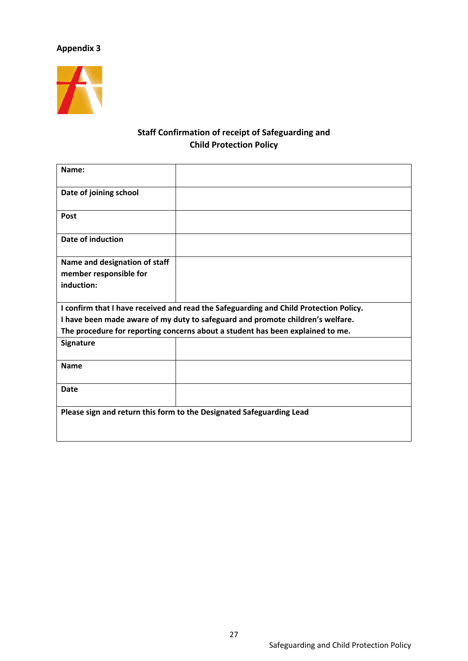

# **Staff Confirmation of receipt of Safeguarding and Child Protection Policy**

| Name:                                                                          |                                                                                       |  |  |  |
|--------------------------------------------------------------------------------|---------------------------------------------------------------------------------------|--|--|--|
| Date of joining school                                                         |                                                                                       |  |  |  |
| Post                                                                           |                                                                                       |  |  |  |
| Date of induction                                                              |                                                                                       |  |  |  |
| Name and designation of staff                                                  |                                                                                       |  |  |  |
| member responsible for                                                         |                                                                                       |  |  |  |
| induction:                                                                     |                                                                                       |  |  |  |
|                                                                                | I confirm that I have received and read the Safeguarding and Child Protection Policy. |  |  |  |
| I have been made aware of my duty to safeguard and promote children's welfare. |                                                                                       |  |  |  |
|                                                                                | The procedure for reporting concerns about a student has been explained to me.        |  |  |  |
| <b>Signature</b>                                                               |                                                                                       |  |  |  |
| <b>Name</b>                                                                    |                                                                                       |  |  |  |
| <b>Date</b>                                                                    |                                                                                       |  |  |  |
| Please sign and return this form to the Designated Safeguarding Lead           |                                                                                       |  |  |  |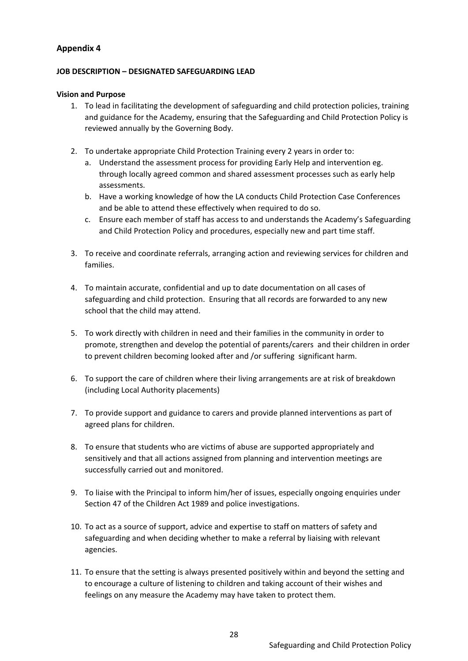#### **JOB DESCRIPTION – DESIGNATED SAFEGUARDING LEAD**

#### **Vision and Purpose**

- 1. To lead in facilitating the development of safeguarding and child protection policies, training and guidance for the Academy, ensuring that the Safeguarding and Child Protection Policy is reviewed annually by the Governing Body.
- 2. To undertake appropriate Child Protection Training every 2 years in order to:
	- a. Understand the assessment process for providing Early Help and intervention eg. through locally agreed common and shared assessment processes such as early help assessments.
	- b. Have a working knowledge of how the LA conducts Child Protection Case Conferences and be able to attend these effectively when required to do so.
	- c. Ensure each member of staff has access to and understands the Academy's Safeguarding and Child Protection Policy and procedures, especially new and part time staff.
- 3. To receive and coordinate referrals, arranging action and reviewing services for children and families.
- 4. To maintain accurate, confidential and up to date documentation on all cases of safeguarding and child protection. Ensuring that all records are forwarded to any new school that the child may attend.
- 5. To work directly with children in need and their families in the community in order to promote, strengthen and develop the potential of parents/carers and their children in order to prevent children becoming looked after and /or suffering significant harm.
- 6. To support the care of children where their living arrangements are at risk of breakdown (including Local Authority placements)
- 7. To provide support and guidance to carers and provide planned interventions as part of agreed plans for children.
- 8. To ensure that students who are victims of abuse are supported appropriately and sensitively and that all actions assigned from planning and intervention meetings are successfully carried out and monitored.
- 9. To liaise with the Principal to inform him/her of issues, especially ongoing enquiries under Section 47 of the Children Act 1989 and police investigations.
- 10. To act as a source of support, advice and expertise to staff on matters of safety and safeguarding and when deciding whether to make a referral by liaising with relevant agencies.
- 11. To ensure that the setting is always presented positively within and beyond the setting and to encourage a culture of listening to children and taking account of their wishes and feelings on any measure the Academy may have taken to protect them.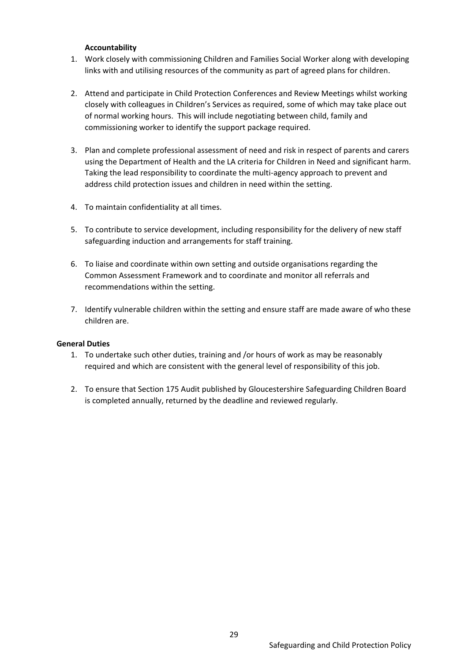#### **Accountability**

- 1. Work closely with commissioning Children and Families Social Worker along with developing links with and utilising resources of the community as part of agreed plans for children.
- 2. Attend and participate in Child Protection Conferences and Review Meetings whilst working closely with colleagues in Children's Services as required, some of which may take place out of normal working hours. This will include negotiating between child, family and commissioning worker to identify the support package required.
- 3. Plan and complete professional assessment of need and risk in respect of parents and carers using the Department of Health and the LA criteria for Children in Need and significant harm. Taking the lead responsibility to coordinate the multi-agency approach to prevent and address child protection issues and children in need within the setting.
- 4. To maintain confidentiality at all times.
- 5. To contribute to service development, including responsibility for the delivery of new staff safeguarding induction and arrangements for staff training.
- 6. To liaise and coordinate within own setting and outside organisations regarding the Common Assessment Framework and to coordinate and monitor all referrals and recommendations within the setting.
- 7. Identify vulnerable children within the setting and ensure staff are made aware of who these children are.

#### **General Duties**

- 1. To undertake such other duties, training and /or hours of work as may be reasonably required and which are consistent with the general level of responsibility of this job.
- 2. To ensure that Section 175 Audit published by Gloucestershire Safeguarding Children Board is completed annually, returned by the deadline and reviewed regularly.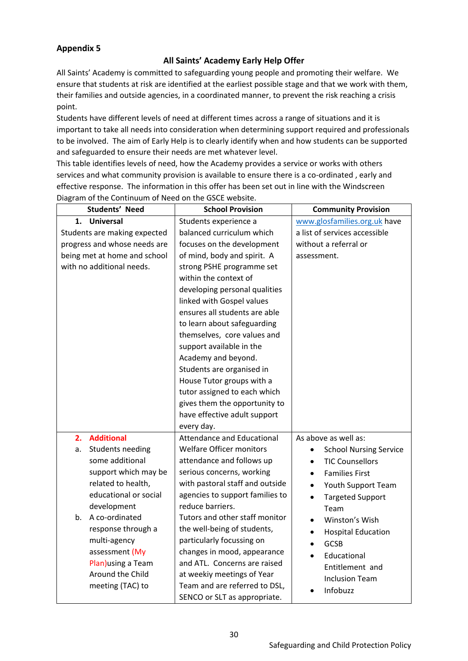#### **All Saints' Academy Early Help Offer**

All Saints' Academy is committed to safeguarding young people and promoting their welfare. We ensure that students at risk are identified at the earliest possible stage and that we work with them, their families and outside agencies, in a coordinated manner, to prevent the risk reaching a crisis point.

Students have different levels of need at different times across a range of situations and it is important to take all needs into consideration when determining support required and professionals to be involved. The aim of Early Help is to clearly identify when and how students can be supported and safeguarded to ensure their needs are met whatever level.

This table identifies levels of need, how the Academy provides a service or works with others services and what community provision is available to ensure there is a co-ordinated , early and effective response. The information in this offer has been set out in line with the Windscreen Diagram of the Continuum of Need on the GSCE website.

| <b>Students' Need</b>        | <b>School Provision</b>         | <b>Community Provision</b>      |
|------------------------------|---------------------------------|---------------------------------|
| <b>Universal</b><br>1.       | Students experience a           | www.glosfamilies.org.uk have    |
| Students are making expected | balanced curriculum which       | a list of services accessible   |
| progress and whose needs are | focuses on the development      | without a referral or           |
| being met at home and school | of mind, body and spirit. A     | assessment.                     |
| with no additional needs.    | strong PSHE programme set       |                                 |
|                              | within the context of           |                                 |
|                              | developing personal qualities   |                                 |
|                              | linked with Gospel values       |                                 |
|                              | ensures all students are able   |                                 |
|                              | to learn about safeguarding     |                                 |
|                              | themselves, core values and     |                                 |
|                              | support available in the        |                                 |
|                              | Academy and beyond.             |                                 |
|                              | Students are organised in       |                                 |
|                              | House Tutor groups with a       |                                 |
|                              | tutor assigned to each which    |                                 |
|                              | gives them the opportunity to   |                                 |
|                              | have effective adult support    |                                 |
|                              | every day.                      |                                 |
| <b>Additional</b><br>2.      | Attendance and Educational      | As above as well as:            |
| Students needing<br>a.       | <b>Welfare Officer monitors</b> | <b>School Nursing Service</b>   |
| some additional              | attendance and follows up       | <b>TIC Counsellors</b>          |
| support which may be         | serious concerns, working       | <b>Families First</b>           |
| related to health,           | with pastoral staff and outside | Youth Support Team<br>$\bullet$ |
| educational or social        | agencies to support families to | <b>Targeted Support</b>         |
| development                  | reduce barriers.                | Team                            |
| A co-ordinated<br>b.         | Tutors and other staff monitor  | Winston's Wish                  |
| response through a           | the well-being of students,     | <b>Hospital Education</b>       |
| multi-agency                 | particularly focussing on       | <b>GCSB</b>                     |
| assessment (My               | changes in mood, appearance     | Educational                     |
| Plan) using a Team           | and ATL. Concerns are raised    | Entitlement and                 |
| Around the Child             | at weekiy meetings of Year      | <b>Inclusion Team</b>           |
| meeting (TAC) to             | Team and are referred to DSL,   | Infobuzz                        |
|                              | SENCO or SLT as appropriate.    |                                 |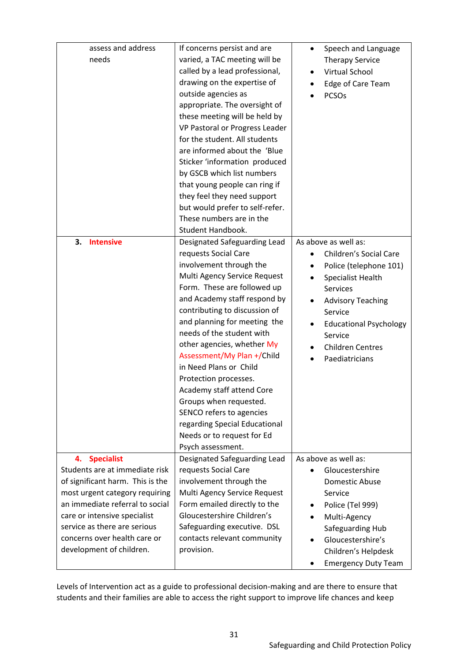| assess and address<br>needs                                                                                                                                                                                                                                                                    | If concerns persist and are<br>varied, a TAC meeting will be<br>called by a lead professional,<br>drawing on the expertise of<br>outside agencies as<br>appropriate. The oversight of<br>these meeting will be held by<br>VP Pastoral or Progress Leader<br>for the student. All students<br>are informed about the 'Blue<br>Sticker 'information produced<br>by GSCB which list numbers<br>that young people can ring if<br>they feel they need support<br>but would prefer to self-refer.<br>These numbers are in the<br>Student Handbook.                       | Speech and Language<br><b>Therapy Service</b><br>Virtual School<br>Edge of Care Team<br><b>PCSOs</b>                                                                                                                                      |
|------------------------------------------------------------------------------------------------------------------------------------------------------------------------------------------------------------------------------------------------------------------------------------------------|--------------------------------------------------------------------------------------------------------------------------------------------------------------------------------------------------------------------------------------------------------------------------------------------------------------------------------------------------------------------------------------------------------------------------------------------------------------------------------------------------------------------------------------------------------------------|-------------------------------------------------------------------------------------------------------------------------------------------------------------------------------------------------------------------------------------------|
| 3.<br><b>Intensive</b>                                                                                                                                                                                                                                                                         | Designated Safeguarding Lead<br>requests Social Care<br>involvement through the<br>Multi Agency Service Request<br>Form. These are followed up<br>and Academy staff respond by<br>contributing to discussion of<br>and planning for meeting the<br>needs of the student with<br>other agencies, whether My<br>Assessment/My Plan +/Child<br>in Need Plans or Child<br>Protection processes.<br>Academy staff attend Core<br>Groups when requested.<br>SENCO refers to agencies<br>regarding Special Educational<br>Needs or to request for Ed<br>Psych assessment. | As above as well as:<br>Children's Social Care<br>Police (telephone 101)<br>Specialist Health<br>Services<br><b>Advisory Teaching</b><br>Service<br><b>Educational Psychology</b><br>Service<br><b>Children Centres</b><br>Paediatricians |
| <b>Specialist</b><br>4.<br>Students are at immediate risk<br>of significant harm. This is the<br>most urgent category requiring<br>an immediate referral to social<br>care or intensive specialist<br>service as there are serious<br>concerns over health care or<br>development of children. | Designated Safeguarding Lead<br>requests Social Care<br>involvement through the<br>Multi Agency Service Request<br>Form emailed directly to the<br>Gloucestershire Children's<br>Safeguarding executive. DSL<br>contacts relevant community<br>provision.                                                                                                                                                                                                                                                                                                          | As above as well as:<br>Gloucestershire<br><b>Domestic Abuse</b><br>Service<br>Police (Tel 999)<br>Multi-Agency<br>Safeguarding Hub<br>Gloucestershire's<br>Children's Helpdesk<br><b>Emergency Duty Team</b>                             |

Levels of Intervention act as a guide to professional decision-making and are there to ensure that students and their families are able to access the right support to improve life chances and keep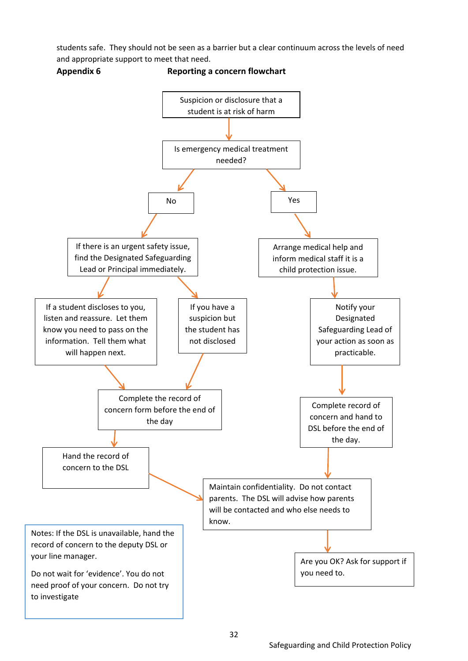students safe. They should not be seen as a barrier but a clear continuum across the levels of need and appropriate support to meet that need.

**Appendix 6 Reporting a concern flowchart**

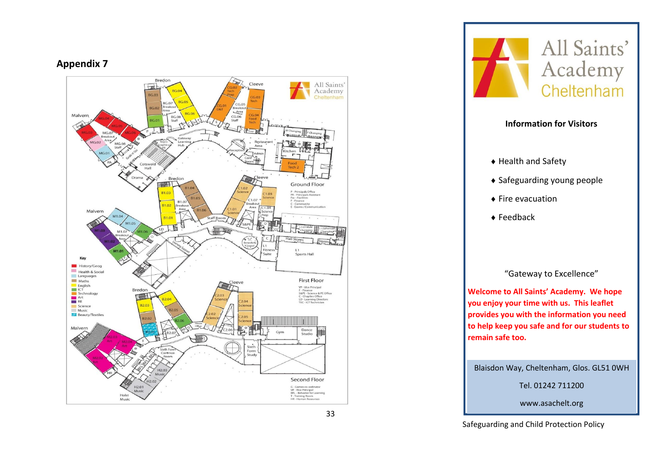



#### **Information for Visitors**

- ◆ Health and Safety
- Safeguarding young people
- $\triangle$  Fire evacuation
- ◆ Feedback

#### "Gateway to Excellence"

**Welcome to All Saints' Academy. We hope you enjoy your time with us. This leaflet provides you with the information you need to help keep you safe and for our students to remain safe too.**

Blaisdon Way, Cheltenham, Glos. GL51 0WH

Tel. 01242 711200

www.asachelt.org

Safeguarding and Child Protection Policy